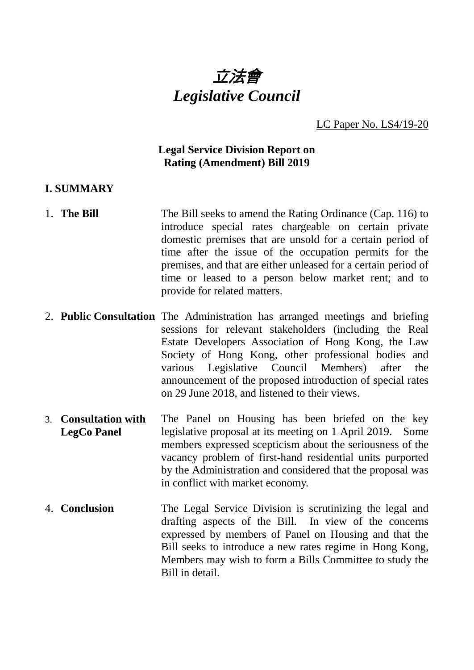

LC Paper No. LS4/19-20

# **Legal Service Division Report on Rating (Amendment) Bill 2019**

#### **I. SUMMARY**

- 1. **The Bill** The Bill seeks to amend the Rating Ordinance (Cap. 116) to introduce special rates chargeable on certain private domestic premises that are unsold for a certain period of time after the issue of the occupation permits for the premises, and that are either unleased for a certain period of time or leased to a person below market rent; and to provide for related matters.
- 2. **Public Consultation** The Administration has arranged meetings and briefing sessions for relevant stakeholders (including the Real Estate Developers Association of Hong Kong, the Law Society of Hong Kong, other professional bodies and various Legislative Council Members) after the announcement of the proposed introduction of special rates on 29 June 2018, and listened to their views.
- 3. **Consultation with LegCo Panel** The Panel on Housing has been briefed on the key legislative proposal at its meeting on 1 April 2019. Some members expressed scepticism about the seriousness of the vacancy problem of first-hand residential units purported by the Administration and considered that the proposal was in conflict with market economy.
- 4. **Conclusion** The Legal Service Division is scrutinizing the legal and drafting aspects of the Bill. In view of the concerns expressed by members of Panel on Housing and that the Bill seeks to introduce a new rates regime in Hong Kong, Members may wish to form a Bills Committee to study the Bill in detail.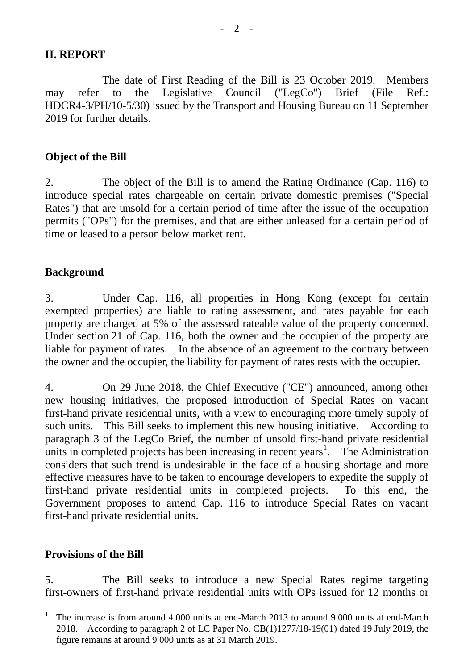#### **II. REPORT**

The date of First Reading of the Bill is 23 October 2019. Members may refer to the Legislative Council ("LegCo") Brief (File Ref.: HDCR4-3/PH/10-5/30) issued by the Transport and Housing Bureau on 11 September 2019 for further details.

# **Object of the Bill**

2. The object of the Bill is to amend the Rating Ordinance (Cap. 116) to introduce special rates chargeable on certain private domestic premises ("Special Rates") that are unsold for a certain period of time after the issue of the occupation permits ("OPs") for the premises, and that are either unleased for a certain period of time or leased to a person below market rent.

#### **Background**

3. Under Cap. 116, all properties in Hong Kong (except for certain exempted properties) are liable to rating assessment, and rates payable for each property are charged at 5% of the assessed rateable value of the property concerned. Under section 21 of Cap. 116, both the owner and the occupier of the property are liable for payment of rates. In the absence of an agreement to the contrary between the owner and the occupier, the liability for payment of rates rests with the occupier.

4. On 29 June 2018, the Chief Executive ("CE") announced, among other new housing initiatives, the proposed introduction of Special Rates on vacant first-hand private residential units, with a view to encouraging more timely supply of such units. This Bill seeks to implement this new housing initiative. According to paragraph 3 of the LegCo Brief, the number of unsold first-hand private residential units in completed projects has been increasing in recent years<sup>[1](#page-1-0)</sup>. The Administration considers that such trend is undesirable in the face of a housing shortage and more effective measures have to be taken to encourage developers to expedite the supply of first-hand private residential units in completed projects. To this end, the Government proposes to amend Cap. 116 to introduce Special Rates on vacant first-hand private residential units.

#### **Provisions of the Bill**

5. The Bill seeks to introduce a new Special Rates regime targeting first-owners of first-hand private residential units with OPs issued for 12 months or

<span id="page-1-0"></span> <sup>1</sup> The increase is from around 4 000 units at end-March 2013 to around 9 000 units at end-March 2018. According to paragraph 2 of LC Paper No. CB(1)1277/18-19(01) dated 19 July 2019, the figure remains at around 9 000 units as at 31 March 2019.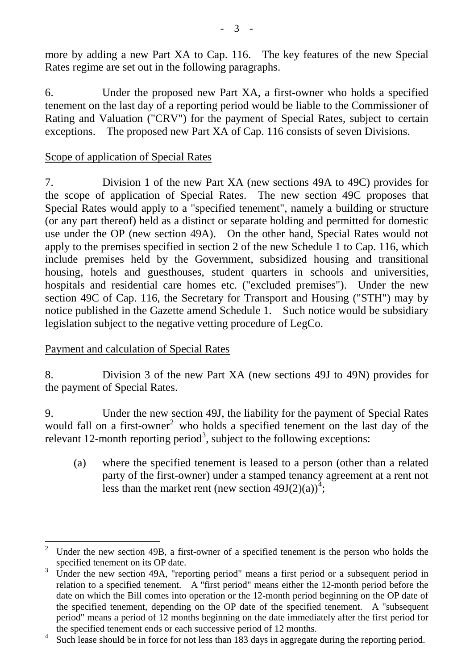more by adding a new Part XA to Cap. 116. The key features of the new Special Rates regime are set out in the following paragraphs.

6. Under the proposed new Part XA, a first-owner who holds a specified tenement on the last day of a reporting period would be liable to the Commissioner of Rating and Valuation ("CRV") for the payment of Special Rates, subject to certain exceptions. The proposed new Part XA of Cap. 116 consists of seven Divisions.

# Scope of application of Special Rates

7. Division 1 of the new Part XA (new sections 49A to 49C) provides for the scope of application of Special Rates. The new section 49C proposes that Special Rates would apply to a "specified tenement", namely a building or structure (or any part thereof) held as a distinct or separate holding and permitted for domestic use under the OP (new section 49A). On the other hand, Special Rates would not apply to the premises specified in section 2 of the new Schedule 1 to Cap. 116, which include premises held by the Government, subsidized housing and transitional housing, hotels and guesthouses, student quarters in schools and universities, hospitals and residential care homes etc. ("excluded premises"). Under the new section 49C of Cap. 116, the Secretary for Transport and Housing ("STH") may by notice published in the Gazette amend Schedule 1. Such notice would be subsidiary legislation subject to the negative vetting procedure of LegCo.

# Payment and calculation of Special Rates

8. Division 3 of the new Part XA (new sections 49J to 49N) provides for the payment of Special Rates.

9. Under the new section 49J, the liability for the payment of Special Rates would fall on a first-owner<sup>[2](#page-2-0)</sup> who holds a specified tenement on the last day of the relevant 12-month reporting period<sup>[3](#page-2-1)</sup>, subject to the following exceptions:

(a) where the specified tenement is leased to a person (other than a related party of the first-owner) under a stamped tenancy agreement at a rent not less than the market rent (new section  $49J(2)(a)^{4}$  $49J(2)(a)^{4}$ ;

<span id="page-2-0"></span> <sup>2</sup> Under the new section 49B, a first-owner of a specified tenement is the person who holds the specified tenement on its OP date.

<span id="page-2-1"></span> $3$  Under the new section 49A, "reporting period" means a first period or a subsequent period in relation to a specified tenement. A "first period" means either the 12-month period before the date on which the Bill comes into operation or the 12-month period beginning on the OP date of the specified tenement, depending on the OP date of the specified tenement. A "subsequent period" means a period of 12 months beginning on the date immediately after the first period for the specified tenement ends or each successive period of 12 months.

<span id="page-2-2"></span>Such lease should be in force for not less than 183 days in aggregate during the reporting period.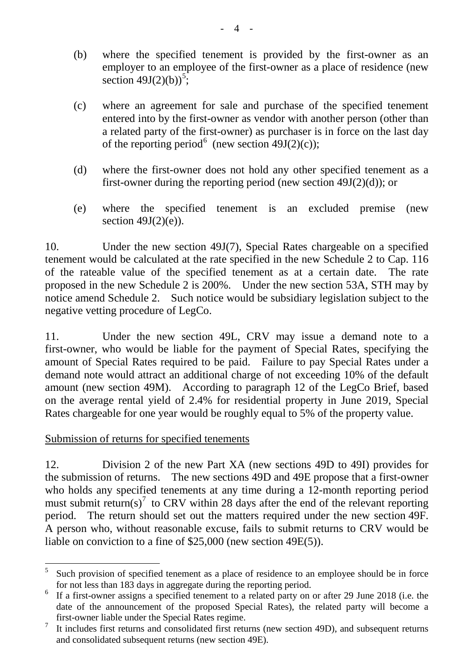- (b) where the specified tenement is provided by the first-owner as an employer to an employee of the first-owner as a place of residence (new section  $49J(2)(b)$ <sup>[5](#page-3-0)</sup>;
- (c) where an agreement for sale and purchase of the specified tenement entered into by the first-owner as vendor with another person (other than a related party of the first-owner) as purchaser is in force on the last day of the reporting period<sup>[6](#page-3-1)</sup> (new section 49J(2)(c));
- (d) where the first-owner does not hold any other specified tenement as a first-owner during the reporting period (new section 49J(2)(d)); or
- (e) where the specified tenement is an excluded premise (new section  $49J(2)(e)$ ).

10. Under the new section 49J(7), Special Rates chargeable on a specified tenement would be calculated at the rate specified in the new Schedule 2 to Cap. 116 of the rateable value of the specified tenement as at a certain date. The rate proposed in the new Schedule 2 is 200%. Under the new section 53A, STH may by notice amend Schedule 2. Such notice would be subsidiary legislation subject to the negative vetting procedure of LegCo.

11. Under the new section 49L, CRV may issue a demand note to a first-owner, who would be liable for the payment of Special Rates, specifying the amount of Special Rates required to be paid. Failure to pay Special Rates under a demand note would attract an additional charge of not exceeding 10% of the default amount (new section 49M). According to paragraph 12 of the LegCo Brief, based on the average rental yield of 2.4% for residential property in June 2019, Special Rates chargeable for one year would be roughly equal to 5% of the property value.

# Submission of returns for specified tenements

12. Division 2 of the new Part XA (new sections 49D to 49I) provides for the submission of returns. The new sections 49D and 49E propose that a first-owner who holds any specified tenements at any time during a 12-month reporting period must submit return(s)<sup>[7](#page-3-2)</sup> to CRV within 28 days after the end of the relevant reporting period. The return should set out the matters required under the new section 49F. A person who, without reasonable excuse, fails to submit returns to CRV would be liable on conviction to a fine of \$25,000 (new section 49E(5)).

<span id="page-3-0"></span> $5$  Such provision of specified tenement as a place of residence to an employee should be in force for not less than 183 days in aggregate during the reporting period.

<span id="page-3-1"></span> $6\text{ If a first-owner assigns a specified tenement to a related party on or after 29 June 2018 (i.e. the$ date of the announcement of the proposed Special Rates), the related party will become a first-owner liable under the Special Rates regime.

<span id="page-3-2"></span> $\frac{7}{1}$  It includes first returns and consolidated first returns (new section 49D), and subsequent returns and consolidated subsequent returns (new section 49E).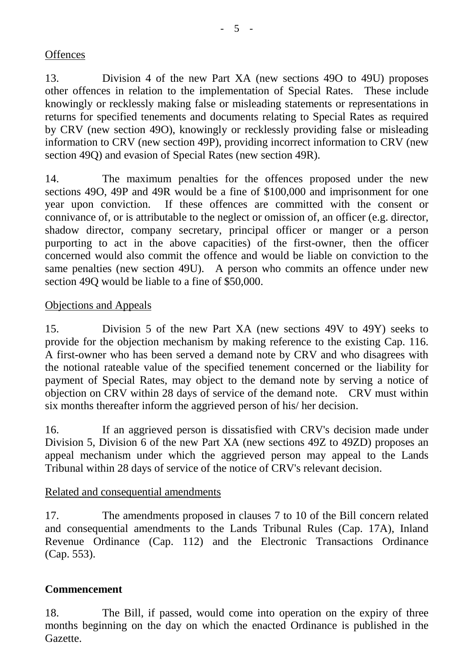### **Offences**

13. Division 4 of the new Part XA (new sections 49O to 49U) proposes other offences in relation to the implementation of Special Rates. These include knowingly or recklessly making false or misleading statements or representations in returns for specified tenements and documents relating to Special Rates as required by CRV (new section 49O), knowingly or recklessly providing false or misleading information to CRV (new section 49P), providing incorrect information to CRV (new section 49Q) and evasion of Special Rates (new section 49R).

14. The maximum penalties for the offences proposed under the new sections 49O, 49P and 49R would be a fine of \$100,000 and imprisonment for one year upon conviction. If these offences are committed with the consent or connivance of, or is attributable to the neglect or omission of, an officer (e.g. director, shadow director, company secretary, principal officer or manger or a person purporting to act in the above capacities) of the first-owner, then the officer concerned would also commit the offence and would be liable on conviction to the same penalties (new section 49U). A person who commits an offence under new section 49Q would be liable to a fine of \$50,000.

# Objections and Appeals

15. Division 5 of the new Part XA (new sections 49V to 49Y) seeks to provide for the objection mechanism by making reference to the existing Cap. 116. A first-owner who has been served a demand note by CRV and who disagrees with the notional rateable value of the specified tenement concerned or the liability for payment of Special Rates, may object to the demand note by serving a notice of objection on CRV within 28 days of service of the demand note. CRV must within six months thereafter inform the aggrieved person of his/ her decision.

16. If an aggrieved person is dissatisfied with CRV's decision made under Division 5, Division 6 of the new Part XA (new sections 49Z to 49ZD) proposes an appeal mechanism under which the aggrieved person may appeal to the Lands Tribunal within 28 days of service of the notice of CRV's relevant decision.

# Related and consequential amendments

17. The amendments proposed in clauses 7 to 10 of the Bill concern related and consequential amendments to the Lands Tribunal Rules (Cap. 17A), Inland Revenue Ordinance (Cap. 112) and the Electronic Transactions Ordinance (Cap. 553).

# **Commencement**

18. The Bill, if passed, would come into operation on the expiry of three months beginning on the day on which the enacted Ordinance is published in the Gazette.